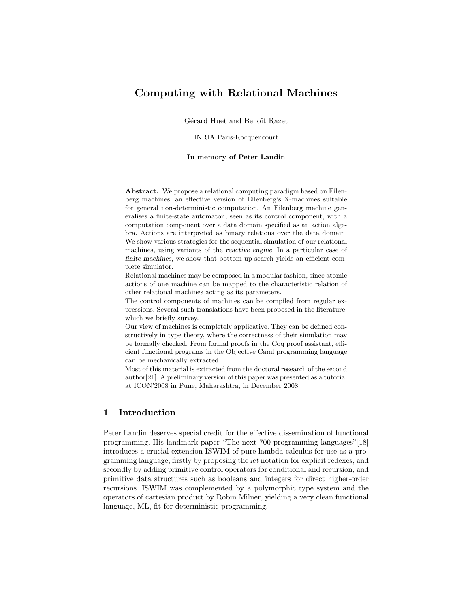# Computing with Relational Machines

Gérard Huet and Benoît Razet

INRIA Paris-Rocquencourt

#### In memory of Peter Landin

Abstract. We propose a relational computing paradigm based on Eilenberg machines, an effective version of Eilenberg's X-machines suitable for general non-deterministic computation. An Eilenberg machine generalises a finite-state automaton, seen as its control component, with a computation component over a data domain specified as an action algebra. Actions are interpreted as binary relations over the data domain. We show various strategies for the sequential simulation of our relational machines, using variants of the reactive engine. In a particular case of finite machines, we show that bottom-up search yields an efficient complete simulator.

Relational machines may be composed in a modular fashion, since atomic actions of one machine can be mapped to the characteristic relation of other relational machines acting as its parameters.

The control components of machines can be compiled from regular expressions. Several such translations have been proposed in the literature, which we briefly survey.

Our view of machines is completely applicative. They can be defined constructively in type theory, where the correctness of their simulation may be formally checked. From formal proofs in the Coq proof assistant, efficient functional programs in the Objective Caml programming language can be mechanically extracted.

Most of this material is extracted from the doctoral research of the second author[21]. A preliminary version of this paper was presented as a tutorial at ICON'2008 in Pune, Maharashtra, in December 2008.

# 1 Introduction

Peter Landin deserves special credit for the effective dissemination of functional programming. His landmark paper "The next 700 programming languages"[18] introduces a crucial extension ISWIM of pure lambda-calculus for use as a programming language, firstly by proposing the let notation for explicit redexes, and secondly by adding primitive control operators for conditional and recursion, and primitive data structures such as booleans and integers for direct higher-order recursions. ISWIM was complemented by a polymorphic type system and the operators of cartesian product by Robin Milner, yielding a very clean functional language, ML, fit for deterministic programming.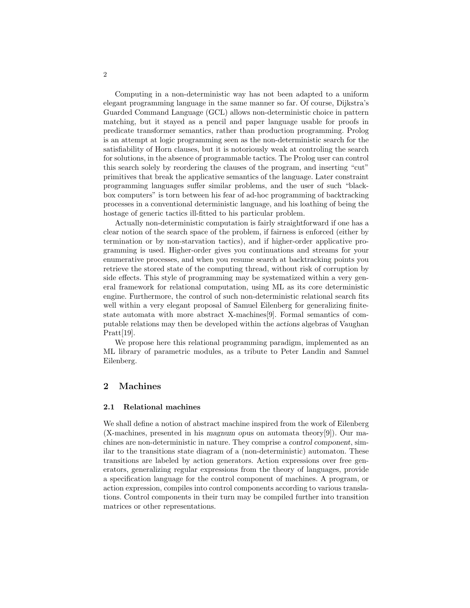Computing in a non-deterministic way has not been adapted to a uniform elegant programming language in the same manner so far. Of course, Dijkstra's Guarded Command Language (GCL) allows non-deterministic choice in pattern matching, but it stayed as a pencil and paper language usable for proofs in predicate transformer semantics, rather than production programming. Prolog is an attempt at logic programming seen as the non-deterministic search for the satisfiability of Horn clauses, but it is notoriously weak at controling the search for solutions, in the absence of programmable tactics. The Prolog user can control this search solely by reordering the clauses of the program, and inserting "cut" primitives that break the applicative semantics of the language. Later constraint programming languages suffer similar problems, and the user of such "blackbox computers" is torn between his fear of ad-hoc programming of backtracking processes in a conventional deterministic language, and his loathing of being the hostage of generic tactics ill-fitted to his particular problem.

Actually non-deterministic computation is fairly straightforward if one has a clear notion of the search space of the problem, if fairness is enforced (either by termination or by non-starvation tactics), and if higher-order applicative programming is used. Higher-order gives you continuations and streams for your enumerative processes, and when you resume search at backtracking points you retrieve the stored state of the computing thread, without risk of corruption by side effects. This style of programming may be systematized within a very general framework for relational computation, using ML as its core deterministic engine. Furthermore, the control of such non-deterministic relational search fits well within a very elegant proposal of Samuel Eilenberg for generalizing finitestate automata with more abstract X-machines[9]. Formal semantics of computable relations may then be developed within the actions algebras of Vaughan Pratt[19].

We propose here this relational programming paradigm, implemented as an ML library of parametric modules, as a tribute to Peter Landin and Samuel Eilenberg.

# 2 Machines

#### 2.1 Relational machines

We shall define a notion of abstract machine inspired from the work of Eilenberg (X-machines, presented in his magnum opus on automata theory[9]). Our machines are non-deterministic in nature. They comprise a control component, similar to the transitions state diagram of a (non-deterministic) automaton. These transitions are labeled by action generators. Action expressions over free generators, generalizing regular expressions from the theory of languages, provide a specification language for the control component of machines. A program, or action expression, compiles into control components according to various translations. Control components in their turn may be compiled further into transition matrices or other representations.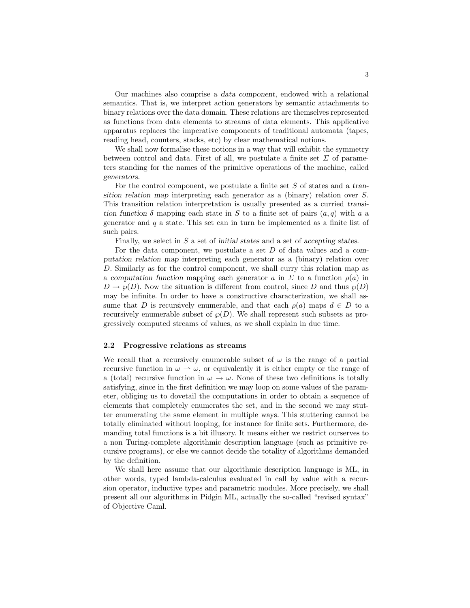Our machines also comprise a data component, endowed with a relational semantics. That is, we interpret action generators by semantic attachments to binary relations over the data domain. These relations are themselves represented as functions from data elements to streams of data elements. This applicative apparatus replaces the imperative components of traditional automata (tapes, reading head, counters, stacks, etc) by clear mathematical notions.

We shall now formalise these notions in a way that will exhibit the symmetry between control and data. First of all, we postulate a finite set  $\Sigma$  of parameters standing for the names of the primitive operations of the machine, called generators.

For the control component, we postulate a finite set S of states and a transition relation map interpreting each generator as a (binary) relation over S. This transition relation interpretation is usually presented as a curried transition function  $\delta$  mapping each state in S to a finite set of pairs  $(a, q)$  with a a generator and  $q$  a state. This set can in turn be implemented as a finite list of such pairs.

Finally, we select in S a set of initial states and a set of accepting states.

For the data component, we postulate a set D of data values and a computation relation map interpreting each generator as a (binary) relation over D. Similarly as for the control component, we shall curry this relation map as a computation function mapping each generator a in  $\Sigma$  to a function  $\rho(a)$  in  $D \to \varphi(D)$ . Now the situation is different from control, since D and thus  $\varphi(D)$ may be infinite. In order to have a constructive characterization, we shall assume that D is recursively enumerable, and that each  $\rho(a)$  maps  $d \in D$  to a recursively enumerable subset of  $\mathcal{O}(D)$ . We shall represent such subsets as progressively computed streams of values, as we shall explain in due time.

#### 2.2 Progressive relations as streams

We recall that a recursively enumerable subset of  $\omega$  is the range of a partial recursive function in  $\omega \to \omega$ , or equivalently it is either empty or the range of a (total) recursive function in  $\omega \to \omega$ . None of these two definitions is totally satisfying, since in the first definition we may loop on some values of the parameter, obliging us to dovetail the computations in order to obtain a sequence of elements that completely enumerates the set, and in the second we may stutter enumerating the same element in multiple ways. This stuttering cannot be totally eliminated without looping, for instance for finite sets. Furthermore, demanding total functions is a bit illusory. It means either we restrict ourserves to a non Turing-complete algorithmic description language (such as primitive recursive programs), or else we cannot decide the totality of algorithms demanded by the definition.

We shall here assume that our algorithmic description language is ML, in other words, typed lambda-calculus evaluated in call by value with a recursion operator, inductive types and parametric modules. More precisely, we shall present all our algorithms in Pidgin ML, actually the so-called "revised syntax" of Objective Caml.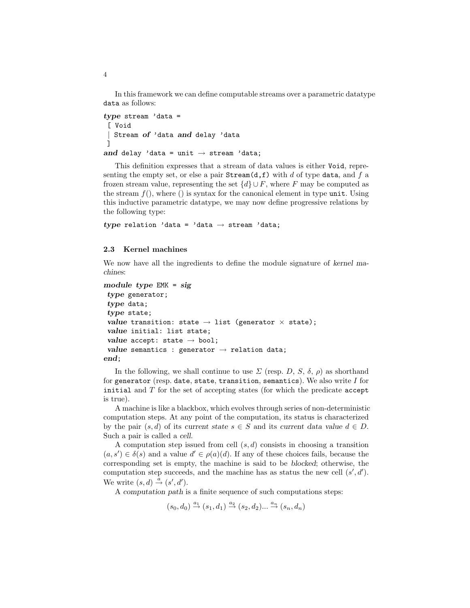In this framework we can define computable streams over a parametric datatype data as follows:

```
type stream 'data =
[ Void
| Stream of 'data and delay 'data
]
and delay 'data = unit \rightarrow stream 'data;
```
This definition expresses that a stream of data values is either Void, representing the empty set, or else a pair  $Stream(d, f)$  with d of type data, and f a frozen stream value, representing the set  $\{d\} \cup F$ , where F may be computed as the stream  $f()$ , where  $\hat{z}$  is syntax for the canonical element in type unit. Using this inductive parametric datatype, we may now define progressive relations by the following type:

type relation 'data = 'data  $\rightarrow$  stream 'data;

### 2.3 Kernel machines

We now have all the ingredients to define the module signature of kernel machines:

```
module type EMK = sig
 type generator;
 type data;
 type state;
 value transition: state \rightarrow list (generator \times state);
 value initial: list state;
 value accept: state \rightarrow bool;
 value semantics : generator \rightarrow relation data;
end;
```
In the following, we shall continue to use  $\Sigma$  (resp. D, S,  $\delta$ ,  $\rho$ ) as shorthand for generator (resp. date, state, transition, semantics). We also write  $I$  for initial and  $T$  for the set of accepting states (for which the predicate accept is true).

A machine is like a blackbox, which evolves through series of non-deterministic computation steps. At any point of the computation, its status is characterized by the pair  $(s, d)$  of its current state  $s \in S$  and its current data value  $d \in D$ . Such a pair is called a cell.

A computation step issued from cell  $(s, d)$  consists in choosing a transition  $(a, s') \in \delta(s)$  and a value  $d' \in \rho(a)(d)$ . If any of these choices fails, because the corresponding set is empty, the machine is said to be blocked; otherwise, the computation step succeeds, and the machine has as status the new cell  $(s', d')$ . We write  $(s, d) \stackrel{a}{\rightarrow} (s', d').$ 

A computation path is a finite sequence of such computations steps:

 $(s_0, d_0) \stackrel{a_1}{\rightarrow} (s_1, d_1) \stackrel{a_2}{\rightarrow} (s_2, d_2) ... \stackrel{a_n}{\rightarrow} (s_n, d_n)$ 

4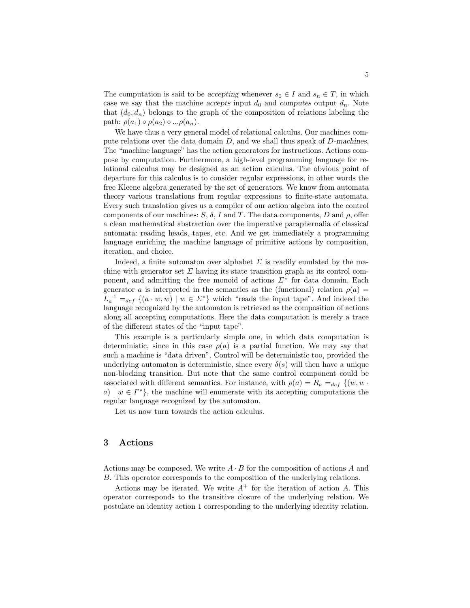The computation is said to be accepting whenever  $s_0 \in I$  and  $s_n \in T$ , in which case we say that the machine accepts input  $d_0$  and computes output  $d_n$ . Note that  $(d_0, d_n)$  belongs to the graph of the composition of relations labeling the path:  $\rho(a_1) \circ \rho(a_2) \circ ... \rho(a_n)$ .

We have thus a very general model of relational calculus. Our machines compute relations over the data domain  $D$ , and we shall thus speak of  $D$ -machines. The "machine language" has the action generators for instructions. Actions compose by computation. Furthermore, a high-level programming language for relational calculus may be designed as an action calculus. The obvious point of departure for this calculus is to consider regular expressions, in other words the free Kleene algebra generated by the set of generators. We know from automata theory various translations from regular expressions to finite-state automata. Every such translation gives us a compiler of our action algebra into the control components of our machines:  $S$ ,  $\delta$ , I and T. The data components, D and  $\rho$ , offer a clean mathematical abstraction over the imperative paraphernalia of classical automata: reading heads, tapes, etc. And we get immediately a programming language enriching the machine language of primitive actions by composition, iteration, and choice.

Indeed, a finite automaton over alphabet  $\Sigma$  is readily emulated by the machine with generator set  $\Sigma$  having its state transition graph as its control component, and admitting the free monoid of actions  $\Sigma^*$  for data domain. Each generator a is interpreted in the semantics as the (functional) relation  $\rho(a)$  =  $L_a^{-1} =_{def} \{ (a \cdot w, w) \mid w \in \Sigma^* \}$  which "reads the input tape". And indeed the language recognized by the automaton is retrieved as the composition of actions along all accepting computations. Here the data computation is merely a trace of the different states of the "input tape".

This example is a particularly simple one, in which data computation is deterministic, since in this case  $\rho(a)$  is a partial function. We may say that such a machine is "data driven". Control will be deterministic too, provided the underlying automaton is deterministic, since every  $\delta(s)$  will then have a unique non-blocking transition. But note that the same control component could be associated with different semantics. For instance, with  $\rho(a) = R_a =_{def} \{(w, w \cdot$ a)  $|w \in \Gamma^* \}$ , the machine will enumerate with its accepting computations the regular language recognized by the automaton.

Let us now turn towards the action calculus.

# 3 Actions

Actions may be composed. We write  $A \cdot B$  for the composition of actions A and B. This operator corresponds to the composition of the underlying relations.

Actions may be iterated. We write  $A^+$  for the iteration of action A. This operator corresponds to the transitive closure of the underlying relation. We postulate an identity action 1 corresponding to the underlying identity relation.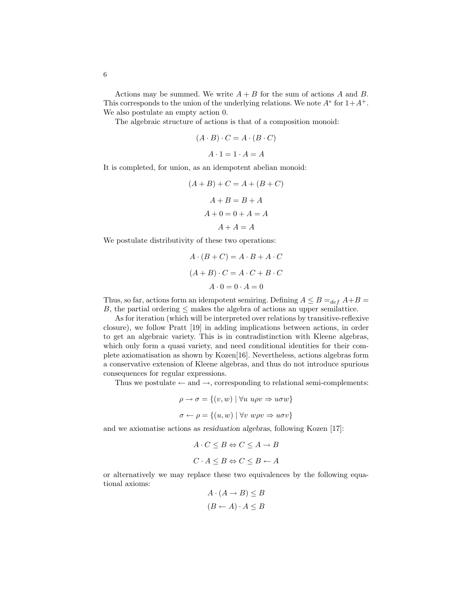Actions may be summed. We write  $A + B$  for the sum of actions A and B. This corresponds to the union of the underlying relations. We note  $A^*$  for  $1+A^+$ . We also postulate an empty action 0.

The algebraic structure of actions is that of a composition monoid:

$$
(A \cdot B) \cdot C = A \cdot (B \cdot C)
$$

$$
A \cdot 1 = 1 \cdot A = A
$$

It is completed, for union, as an idempotent abelian monoid:

$$
(A + B) + C = A + (B + C)
$$

$$
A + B = B + A
$$

$$
A + 0 = 0 + A = A
$$

$$
A + A = A
$$

We postulate distributivity of these two operations:

$$
A \cdot (B + C) = A \cdot B + A \cdot C
$$

$$
(A + B) \cdot C = A \cdot C + B \cdot C
$$

$$
A \cdot 0 = 0 \cdot A = 0
$$

Thus, so far, actions form an idempotent semiring. Defining  $A \leq B =_{def} A + B =$ B, the partial ordering  $\leq$  makes the algebra of actions an upper semilattice.

As for iteration (which will be interpreted over relations by transitive-reflexive closure), we follow Pratt [19] in adding implications between actions, in order to get an algebraic variety. This is in contradistinction with Kleene algebras, which only form a quasi variety, and need conditional identities for their complete axiomatisation as shown by Kozen[16]. Nevertheless, actions algebras form a conservative extension of Kleene algebras, and thus do not introduce spurious consequences for regular expressions.

Thus we postulate  $\leftarrow$  and  $\rightarrow$ , corresponding to relational semi-complements:

$$
\rho \to \sigma = \{(v, w) \mid \forall u \ u \rho v \Rightarrow u \sigma w \}
$$

$$
\sigma \leftarrow \rho = \{(u, w) \mid \forall v \ w \rho v \Rightarrow u \sigma v \}
$$

and we axiomatise actions as residuation algebras, following Kozen [17]:

$$
A \cdot C \leq B \Leftrightarrow C \leq A \to B
$$
  

$$
C \cdot A \leq B \Leftrightarrow C \leq B \leftarrow A
$$

or alternatively we may replace these two equivalences by the following equational axioms:

$$
A \cdot (A \to B) \le B
$$

$$
(B \leftarrow A) \cdot A \le B
$$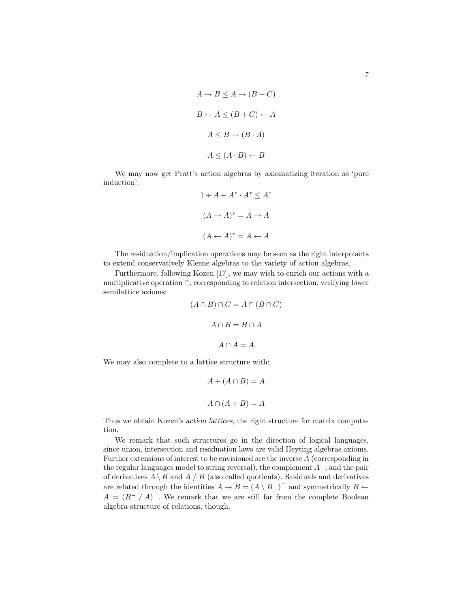$$
A \to B \le A \to (B + C)
$$
  

$$
B \leftarrow A \le (B + C) \leftarrow A
$$
  

$$
A \le B \to (B \cdot A)
$$
  

$$
A \le (A \cdot B) \leftarrow B
$$

We may now get Pratt's action algebras by axiomatizing iteration as 'pure induction':

$$
1 + A + A^* \cdot A^* \le A^*
$$

$$
(A \to A)^* = A \to A
$$

$$
(A \leftarrow A)^* = A \leftarrow A
$$

The residuation/implication operations may be seen as the right interpolants to extend conservatively Kleene algebras to the variety of action algebras.

Furthermore, following Kozen [17], we may wish to enrich our actions with a multiplicative operation ∩, corresponding to relation intersection, verifying lower semilattice axioms:

$$
(A \cap B) \cap C = A \cap (B \cap C)
$$

$$
A \cap B = B \cap A
$$

$$
A \cap A = A
$$

We may also complete to a lattice structure with:

$$
A + (A \cap B) = A
$$

$$
A \cap (A + B) = A
$$

Thus we obtain Kozen's action lattices, the right structure for matrix computation.

We remark that such structures go in the direction of logical languages, since union, intersection and residuation laws are valid Heyting algebras axioms. Further extensions of interest to be envisioned are the inverse  $A$  (corresponding in the regular languages model to string reversal), the complement  $A^-$ , and the pair of derivatives  $A \setminus B$  and  $A / B$  (also called quotients). Residuals and derivatives are related through the identities  $A \to B = (A \setminus B^{-})^{-}$  and symmetrically  $B \leftarrow$  $A = (B^{-} / A)^{-}$ . We remark that we are still far from the complete Boolean algebra structure of relations, though.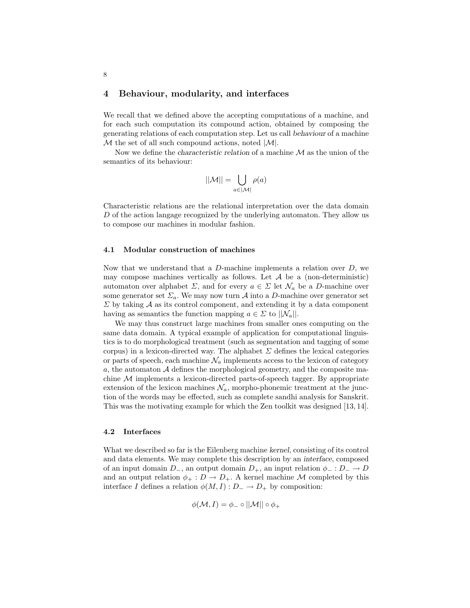### 4 Behaviour, modularity, and interfaces

We recall that we defined above the accepting computations of a machine, and for each such computation its compound action, obtained by composing the generating relations of each computation step. Let us call behaviour of a machine  $M$  the set of all such compound actions, noted  $|M|$ .

Now we define the *characteristic relation* of a machine  $M$  as the union of the semantics of its behaviour:

$$
||\mathcal{M}|| = \bigcup_{a \in |\mathcal{M}|} \rho(a)
$$

Characteristic relations are the relational interpretation over the data domain D of the action langage recognized by the underlying automaton. They allow us to compose our machines in modular fashion.

### 4.1 Modular construction of machines

Now that we understand that a  $D$ -machine implements a relation over  $D$ , we may compose machines vertically as follows. Let  $A$  be a (non-deterministic) automaton over alphabet  $\Sigma$ , and for every  $a \in \Sigma$  let  $\mathcal{N}_a$  be a D-machine over some generator set  $\Sigma_a$ . We may now turn A into a D-machine over generator set  $\Sigma$  by taking  $\mathcal A$  as its control component, and extending it by a data component having as semantics the function mapping  $a \in \Sigma$  to  $||\mathcal{N}_a||$ .

We may thus construct large machines from smaller ones computing on the same data domain. A typical example of application for computational linguistics is to do morphological treatment (such as segmentation and tagging of some corpus) in a lexicon-directed way. The alphabet  $\Sigma$  defines the lexical categories or parts of speech, each machine  $\mathcal{N}_a$  implements access to the lexicon of category  $a$ , the automaton  $A$  defines the morphological geometry, and the composite machine  $M$  implements a lexicon-directed parts-of-speech tagger. By appropriate extension of the lexicon machines  $\mathcal{N}_a$ , morpho-phonemic treatment at the junction of the words may be effected, such as complete sandhi analysis for Sanskrit. This was the motivating example for which the Zen toolkit was designed [13, 14].

#### 4.2 Interfaces

What we described so far is the Eilenberg machine kernel, consisting of its control and data elements. We may complete this description by an interface, composed of an input domain  $D_-,$  an output domain  $D_+$ , an input relation  $\phi_-: D_- \to D$ and an output relation  $\phi_+ : D \to D_+$ . A kernel machine M completed by this interface I defines a relation  $\phi(M, I) : D_- \to D_+$  by composition:

$$
\phi(\mathcal{M}, I) = \phi_- \circ ||\mathcal{M}|| \circ \phi_+
$$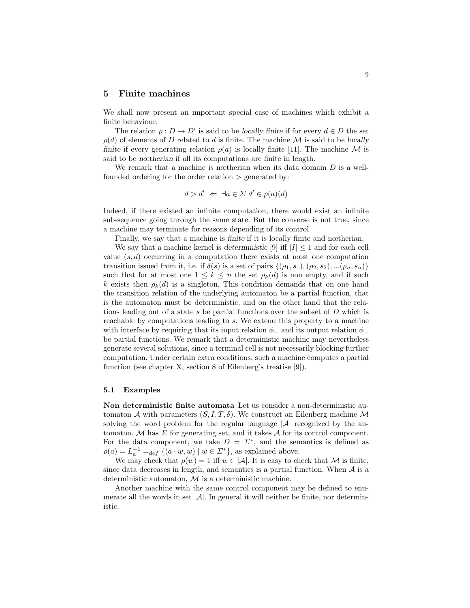### 5 Finite machines

We shall now present an important special case of machines which exhibit a finite behaviour.

The relation  $\rho: D \to D'$  is said to be locally finite if for every  $d \in D$  the set  $\rho(d)$  of elements of D related to d is finite. The machine M is said to be locally finite if every generating relation  $\rho(a)$  is locally finite [11]. The machine M is said to be nœtherian if all its computations are finite in length.

We remark that a machine is notherian when its data domain  $D$  is a wellfounded ordering for the order relation  $\geq$  generated by:

$$
d > d' \iff \exists a \in \Sigma \ d' \in \rho(a)(d)
$$

Indeed, if there existed an infinite computation, there would exist an infinite sub-sequence going through the same state. But the converse is not true, since a machine may terminate for reasons depending of its control.

Finally, we say that a machine is finite if it is locally finite and nœtherian. We say that a machine kernel is deterministic [9] iff  $|I| \leq 1$  and for each cell value  $(s, d)$  occurring in a computation there exists at most one computation transition issued from it, i.e. if  $\delta(s)$  is a set of pairs  $\{(\rho_1, s_1),(\rho_2, s_2),...(\rho_n, s_n)\}\$ such that for at most one  $1 \leq k \leq n$  the set  $\rho_k(d)$  is non empty, and if such k exists then  $\rho_k(d)$  is a singleton. This condition demands that on one hand the transition relation of the underlying automaton be a partial function, that is the automaton must be deterministic, and on the other hand that the relations leading out of a state s be partial functions over the subset of D which is reachable by computations leading to s. We extend this property to a machine with interface by requiring that its input relation  $\phi_-\$  and its output relation  $\phi_+\$ be partial functions. We remark that a deterministic machine may nevertheless generate several solutions, since a terminal cell is not necessarily blocking further computation. Under certain extra conditions, such a machine computes a partial function (see chapter X, section 8 of Eilenberg's treatise [9]).

#### 5.1 Examples

Non deterministic finite automata Let us consider a non-deterministic automaton A with parameters  $(S, I, T, \delta)$ . We construct an Eilenberg machine M solving the word problem for the regular language  $|\mathcal{A}|$  recognized by the automaton. M has  $\Sigma$  for generating set, and it takes A for its control component. For the data component, we take  $D = \Sigma^*$ , and the semantics is defined as  $\rho(a) = L_a^{-1} =_{def} \{ (a \cdot w, w) \mid w \in \Sigma^* \},$  as explained above.

We may check that  $\rho(w) = 1$  iff  $w \in |\mathcal{A}|$ . It is easy to check that M is finite, since data decreases in length, and semantics is a partial function. When  $A$  is a deterministic automaton, M is a deterministic machine.

Another machine with the same control component may be defined to enumerate all the words in set  $|\mathcal{A}|$ . In general it will neither be finite, nor deterministic.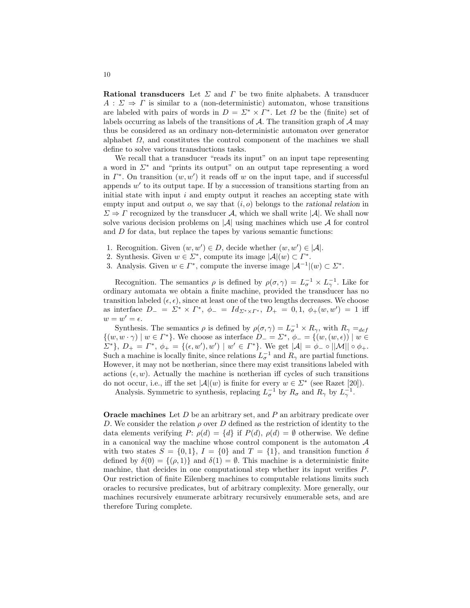**Rational transducers** Let  $\Sigma$  and  $\Gamma$  be two finite alphabets. A transducer  $A: \Sigma \Rightarrow \Gamma$  is similar to a (non-deterministic) automaton, whose transitions are labeled with pairs of words in  $D = \Sigma^* \times \Gamma^*$ . Let  $\Omega$  be the (finite) set of labels occurring as labels of the transitions of  $A$ . The transition graph of  $A$  may thus be considered as an ordinary non-deterministic automaton over generator alphabet  $\Omega$ , and constitutes the control component of the machines we shall define to solve various transductions tasks.

We recall that a transducer "reads its input" on an input tape representing a word in  $\Sigma^*$  and "prints its output" on an output tape representing a word in  $\Gamma^*$ . On transition  $(w, w')$  it reads off w on the input tape, and if successful appends  $w'$  to its output tape. If by a succession of transitions starting from an initial state with input  $i$  and empty output it reaches an accepting state with empty input and output  $o$ , we say that  $(i, o)$  belongs to the rational relation in  $\Sigma \Rightarrow \Gamma$  recognized by the transducer A, which we shall write  $|\mathcal{A}|$ . We shall now solve various decision problems on  $|\mathcal{A}|$  using machines which use  $\mathcal A$  for control and  $D$  for data, but replace the tapes by various semantic functions:

- 1. Recognition. Given  $(w, w') \in D$ , decide whether  $(w, w') \in |\mathcal{A}|$ .
- 2. Synthesis. Given  $w \in \Sigma^*$ , compute its image  $|\mathcal{A}|(w) \subset \Gamma^*$ .
- 3. Analysis. Given  $w \in \Gamma^*$ , compute the inverse image  $|\mathcal{A}^{-1}|(w) \subset \Sigma^*$ .

Recognition. The semantics  $\rho$  is defined by  $\rho(\sigma, \gamma) = L_{\sigma}^{-1} \times L_{\gamma}^{-1}$ . Like for ordinary automata we obtain a finite machine, provided the transducer has no transition labeled  $(\epsilon, \epsilon)$ , since at least one of the two lengths decreases. We choose as interface  $D_- = \Sigma^* \times \Gamma^*$ ,  $\phi_- = Id_{\Sigma^* \times \Gamma^*}$ ,  $D_+ = 0, 1, \phi_+(w, w') = 1$  iff  $w=w'=\epsilon.$ 

Synthesis. The semantics  $\rho$  is defined by  $\rho(\sigma, \gamma) = L_{\sigma}^{-1} \times R_{\gamma}$ , with  $R_{\gamma} =_{def}$  $\{(w, w \cdot \gamma) \mid w \in \Gamma^*\}.$  We choose as interface  $D_- = \Sigma^*, \phi_- = \{(w, (w, \epsilon)) \mid w \in \Gamma\}$  $\Sigma^*$ ,  $D_+ = \Gamma^*, \phi_+ = \{(\epsilon, w'), w'\} \mid w' \in \Gamma^*\}.$  We get  $|\mathcal{A}| = \phi_- \circ ||\mathcal{M}|| \circ \phi_+.$ Such a machine is locally finite, since relations  $L_{\sigma}^{-1}$  and  $R_{\gamma}$  are partial functions. However, it may not be nœtherian, since there may exist transitions labeled with actions  $(\epsilon, w)$ . Actually the machine is nœtherian iff cycles of such transitions do not occur, i.e., iff the set  $|\mathcal{A}|(w)$  is finite for every  $w \in \mathbb{Z}^*$  (see Razet [20]).

Analysis. Symmetric to synthesis, replacing  $L_{\sigma}^{-1}$  by  $R_{\sigma}$  and  $R_{\gamma}$  by  $L_{\gamma}^{-1}$ .

**Oracle machines** Let  $D$  be an arbitrary set, and  $P$  an arbitrary predicate over D. We consider the relation  $\rho$  over D defined as the restriction of identity to the data elements verifying  $P: \rho(d) = \{d\}$  if  $P(d), \rho(d) = \emptyset$  otherwise. We define in a canonical way the machine whose control component is the automaton  $A$ with two states  $S = \{0, 1\}$ ,  $I = \{0\}$  and  $T = \{1\}$ , and transition function  $\delta$ defined by  $\delta(0) = \{(\rho, 1)\}\$ and  $\delta(1) = \emptyset$ . This machine is a deterministic finite machine, that decides in one computational step whether its input verifies P. Our restriction of finite Eilenberg machines to computable relations limits such oracles to recursive predicates, but of arbitrary complexity. More generally, our machines recursively enumerate arbitrary recursively enumerable sets, and are therefore Turing complete.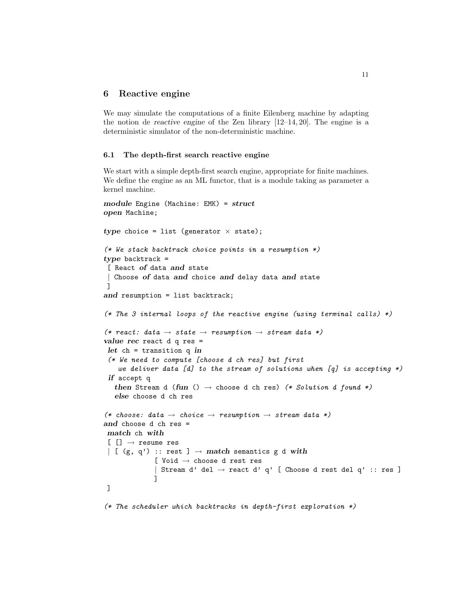### 6 Reactive engine

We may simulate the computations of a finite Eilenberg machine by adapting the notion de reactive engine of the Zen library [12–14, 20]. The engine is a deterministic simulator of the non-deterministic machine.

#### 6.1 The depth-first search reactive engine

We start with a simple depth-first search engine, appropriate for finite machines. We define the engine as an ML functor, that is a module taking as parameter a kernel machine.

```
module Engine (Machine: EMK) = struct
open Machine;
type choice = list (generator \times state);
(* We stack backtrack choice points in a resumption *)
type backtrack =
[ React of data and state
| Choose of data and choice and delay data and state
]
and resumption = list backtrack;
(* The 3 internal loops of the reactive engine (using terminal calls) *)(* react: data \rightarrow state \rightarrow resumption \rightarrow stream data *)
value rec react d q res =
let ch = transition q in
 (* We need to compute [choose d ch res] but first
    we deliver data [d] to the stream of solutions when [q] is accepting *)
 if accept q
   then Stream d (fun () \rightarrow choose d ch res) (* Solution d found *)
   else choose d ch res
(* choose: data \rightarrow choice \rightarrow resumption \rightarrow stream data *)
and choose d ch res =
match ch with
[[] \rightarrow \text{resume} \text{res}| [ (g, q') :: rest ] \rightarrow match semantics g d with
             [ Void → choose d rest res
             | Stream d' del \rightarrow react d' q' [ Choose d rest del q' :: res ]
             ]
]
(* The scheduler which backtracks in depth-first exploration *)
```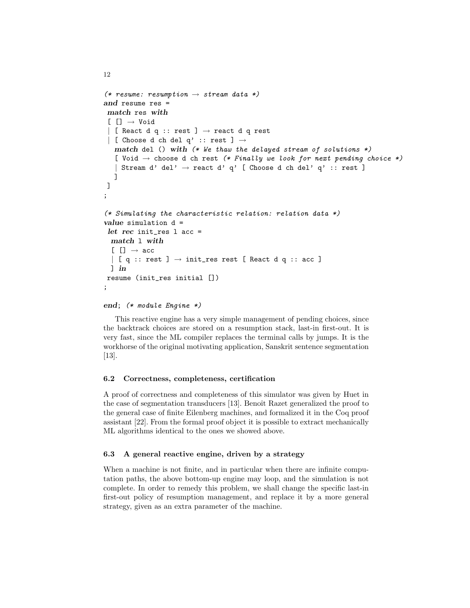```
(* resume: resumption \rightarrow stream data *)and resume res =
match res with
 [ [ ] \rightarrow Void
 | [ React d q :: rest ] \rightarrow react d q rest
\vert [ Choose d ch del q' :: rest ] \rightarrowmatch del () with (*\n we thaw the delayed stream of solutions *)[ Void \rightarrow choose d ch rest (* Finally we look for next pending choice *)
   | Stream d' del' \rightarrow react d' q' [ Choose d ch del' q' :: rest ]
   ]
]
;
(* Simulating the characteristic relation: relation data *)
value simulation d =
let rec init_res l acc =
 match l with
  [[] \rightarrow acc\vert [ q :: rest ] \rightarrow init_res rest [ React d q :: acc ]
 ] in
resume (init_res initial [])
;
```

```
end; (* module Engine *)
```
12

This reactive engine has a very simple management of pending choices, since the backtrack choices are stored on a resumption stack, last-in first-out. It is very fast, since the ML compiler replaces the terminal calls by jumps. It is the workhorse of the original motivating application, Sanskrit sentence segmentation [13].

# 6.2 Correctness, completeness, certification

A proof of correctness and completeness of this simulator was given by Huet in the case of segmentation transducers [13]. Benoît Razet generalized the proof to the general case of finite Eilenberg machines, and formalized it in the Coq proof assistant [22]. From the formal proof object it is possible to extract mechanically ML algorithms identical to the ones we showed above.

# 6.3 A general reactive engine, driven by a strategy

When a machine is not finite, and in particular when there are infinite computation paths, the above bottom-up engine may loop, and the simulation is not complete. In order to remedy this problem, we shall change the specific last-in first-out policy of resumption management, and replace it by a more general strategy, given as an extra parameter of the machine.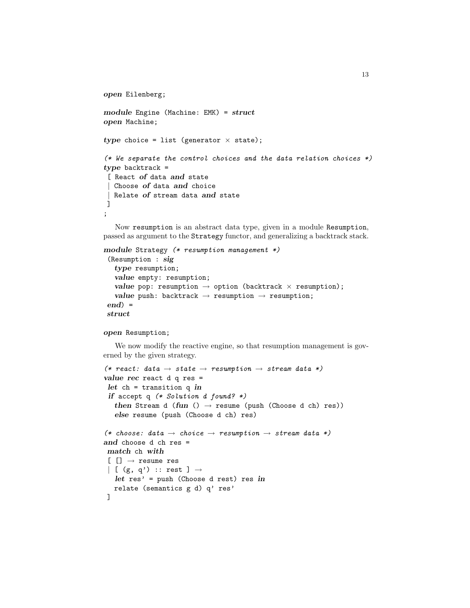```
open Eilenberg;
module Engine (Machine: EMK) = struct
open Machine;
type choice = list (generator \times state);
(* We separate the control choices and the data relation choices *)type backtrack =
\int React of data and state
  Choose of data and choice
  Relate of stream data and state
\overline{\phantom{a}};
```
Now resumption is an abstract data type, given in a module Resumption, passed as argument to the Strategy functor, and generalizing a backtrack stack.

```
module Strategy (* resumption management *)
 (Resumption : sig
   type resumption;
   value empty: resumption;
   value pop: resumption \rightarrow option (backtrack \times resumption);
   value push: backtrack \rightarrow resumption \rightarrow resumption;
end =
struct
```
### open Resumption;

We now modify the reactive engine, so that resumption management is governed by the given strategy.

```
(* react: data \rightarrow state \rightarrow resumption \rightarrow stream data *)
value rec react d q res =
 let ch = transition q in
 if accept q (* Solution d found? *)then Stream d (fun () \rightarrow resume (push (Choose d ch) res))
   else resume (push (Choose d ch) res)
(* choose: data \rightarrow choice \rightarrow resumption \rightarrow stream data *)
and choose d ch res =
match ch with
 [[] \rightarrow \text{resume} \text{res}\begin{array}{c} \hline \end{array} [ (g, q') :: rest ] \rightarrowlet res' = push (Choose d rest) res in
   relate (semantics g d) q' res'
]
```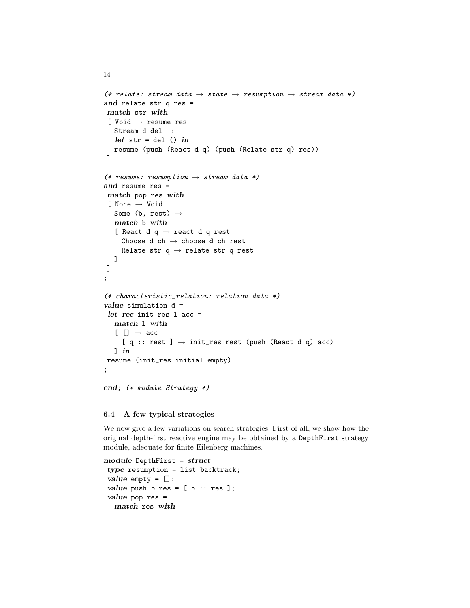```
(* relate: stream data \rightarrow state \rightarrow resumption \rightarrow stream data *)
and relate str q res =
match str with
 [ Void → resume res
 | Stream d del \rightarrowlet str = del () inresume (push (React d q) (push (Relate str q) res))
 ]
(* resume: resumption \rightarrow stream data *)
and resume res =
match pop res with
 [ None → Void
 | Some (b, rest) \rightarrowmatch b with
   [ React d q \rightarrow react d q rest
   | Choose d ch \rightarrow choose d ch rest
   | Relate str q \rightarrow relate str q rest
   ]
]
;
(* characteristic_relation: relation data *)
value simulation d =
 let rec init res l acc =
  match l with
   [[] \rightarrow acc]\vert [ q :: rest ] \rightarrow init_res rest (push (React d q) acc)
  ] in
resume (init_res initial empty)
;
end; (* module Strategy *)
```
### 6.4 A few typical strategies

14

We now give a few variations on search strategies. First of all, we show how the original depth-first reactive engine may be obtained by a DepthFirst strategy module, adequate for finite Eilenberg machines.

```
module DepthFirst = struct
type resumption = list backtrack;
value empty = [];
value push b res = [b :: res];
value pop res =
  match res with
```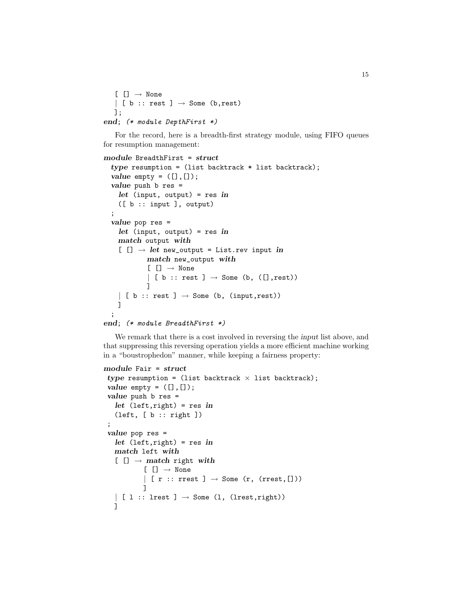```
[[] \rightarrow None| [ b :: rest ] \rightarrow Some (b, rest)
   ];
end; (* module DepthFirst *)
```
For the record, here is a breadth-first strategy module, using FIFO queues for resumption management:

```
module BreadthFirst = struct
  type resumption = (list backtrack * list backtrack);
  value empty = ([], []);value push b res =
   let (input, output) = res in
   ([ b :: input ], output)
  ;
  value pop res =
   let (input, output) = res in
   match output with
    [ [] \rightarrow let new_output = List.rev input in
           match new_output with
            [[] \rightarrow None| [ b :: rest ] \rightarrow Some (b, ([], rest))
           ]
    | [ b :: rest ] \rightarrow Some (b, (input, rest))
   ]
  ;
end; (* module BreadthFirst *)
```
We remark that there is a cost involved in reversing the input list above, and that suppressing this reversing operation yields a more efficient machine working in a "boustrophedon" manner, while keeping a fairness property:

```
module Fair = struct
type resumption = (list backtrack \times list backtrack);
value empty = ([], []);value push b res =
   let (left, right) = res in
   (left, [b :: right]);
value pop res =
   let (left, right) = res in
   match left with
   [[] \rightarrow match right with
           [[] \rightarrow None| [ r :: rrest ] \rightarrow Some (r, (rrest, []))
           ]
   \vert [ 1 :: lrest ] \rightarrow Some (1, (lrest, right))
   ]
```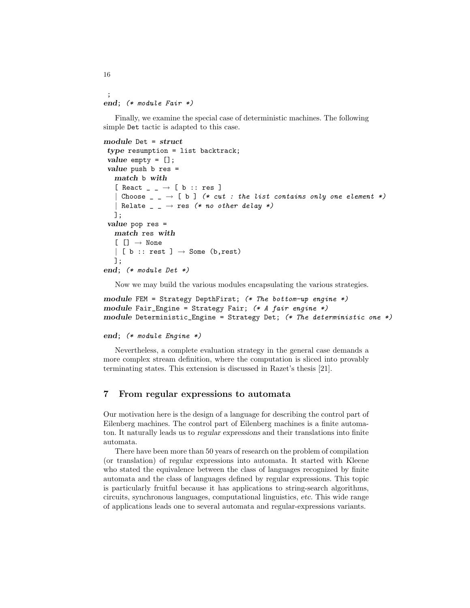```
;
end; (* module Fair *)
```
Finally, we examine the special case of deterministic machines. The following simple Det tactic is adapted to this case.

```
module Det = struct
 type resumption = list backtrack;
 value empty = [];
 value push b res =
   match b with
   [ React \Box \rightarrow [ b :: res ]
   | Choose \Box \rightarrow [ b ] (* cut : the list contains only one element *)
     Relate \Box \rightarrow res (* no other delay *)
   ];
 value pop res =
   match res with
   [[] \rightarrow None| [ b :: rest ] \rightarrow Some (b, rest)
   ];
end; (* module Det *)
```
Now we may build the various modules encapsulating the various strategies.

```
module FEM = Strategy DepthFirst; (* The bottom-up engine *)module Fair_Engine = Strategy Fair; (* A fair engine *)module Deterministic_Engine = Strategy Det; (* The deterministic one *)
```

```
end; (* module Engine *)
```
Nevertheless, a complete evaluation strategy in the general case demands a more complex stream definition, where the computation is sliced into provably terminating states. This extension is discussed in Razet's thesis [21].

# 7 From regular expressions to automata

Our motivation here is the design of a language for describing the control part of Eilenberg machines. The control part of Eilenberg machines is a finite automaton. It naturally leads us to regular expressions and their translations into finite automata.

There have been more than 50 years of research on the problem of compilation (or translation) of regular expressions into automata. It started with Kleene who stated the equivalence between the class of languages recognized by finite automata and the class of languages defined by regular expressions. This topic is particularly fruitful because it has applications to string-search algorithms, circuits, synchronous languages, computational linguistics, etc. This wide range of applications leads one to several automata and regular-expressions variants.

16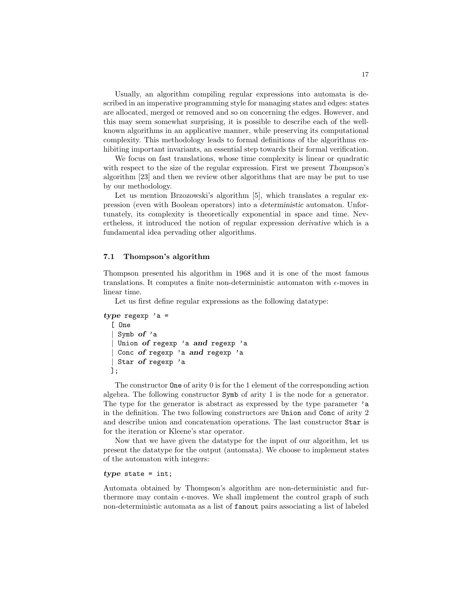Usually, an algorithm compiling regular expressions into automata is described in an imperative programming style for managing states and edges: states are allocated, merged or removed and so on concerning the edges. However, and this may seem somewhat surprising, it is possible to describe each of the wellknown algorithms in an applicative manner, while preserving its computational complexity. This methodology leads to formal definitions of the algorithms exhibiting important invariants, an essential step towards their formal verification.

We focus on fast translations, whose time complexity is linear or quadratic with respect to the size of the regular expression. First we present Thompson's algorithm [23] and then we review other algorithms that are may be put to use by our methodology.

Let us mention Brzozowski's algorithm [5], which translates a regular expression (even with Boolean operators) into a deterministic automaton. Unfortunately, its complexity is theoretically exponential in space and time. Nevertheless, it introduced the notion of regular expression derivative which is a fundamental idea pervading other algorithms.

### 7.1 Thompson's algorithm

Thompson presented his algorithm in 1968 and it is one of the most famous translations. It computes a finite non-deterministic automaton with  $\epsilon$ -moves in linear time.

Let us first define regular expressions as the following datatype:

```
type regexp a =[ One
   Symb of 'a
   Union of regexp 'a and regexp 'a
   Conc of regexp 'a and regexp 'a
   Star of regexp 'a
 ];
```
The constructor One of arity 0 is for the 1 element of the corresponding action algebra. The following constructor Symb of arity 1 is the node for a generator. The type for the generator is abstract as expressed by the type parameter 'a in the definition. The two following constructors are Union and Conc of arity 2 and describe union and concatenation operations. The last constructor Star is for the iteration or Kleene's star operator.

Now that we have given the datatype for the input of our algorithm, let us present the datatype for the output (automata). We choose to implement states of the automaton with integers:

#### $type$  state = int;

Automata obtained by Thompson's algorithm are non-deterministic and furthermore may contain  $\epsilon$ -moves. We shall implement the control graph of such non-deterministic automata as a list of fanout pairs associating a list of labeled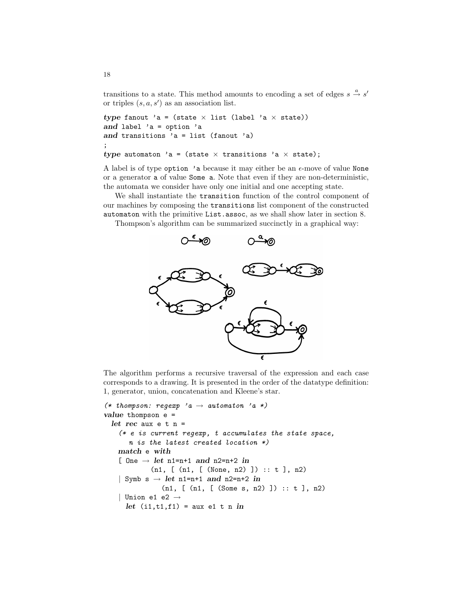transitions to a state. This method amounts to encoding a set of edges  $s \stackrel{a}{\rightarrow} s'$ or triples  $(s, a, s')$  as an association list.

```
type fanout 'a = (state \times list (label 'a \times state))
and label 'a = option 'a
and transitions 'a = list (fanout 'a)
;
type automaton 'a = (state \times transitions 'a \times state);
```
A label is of type option 'a because it may either be an  $\epsilon$ -move of value None or a generator a of value Some a. Note that even if they are non-deterministic, the automata we consider have only one initial and one accepting state.

We shall instantiate the transition function of the control component of our machines by composing the transitions list component of the constructed automaton with the primitive List.assoc, as we shall show later in section 8.

Thompson's algorithm can be summarized succinctly in a graphical way:



The algorithm performs a recursive traversal of the expression and each case corresponds to a drawing. It is presented in the order of the datatype definition: 1, generator, union, concatenation and Kleene's star.

```
(* thompson: regexp 'a \rightarrow automaton 'a *)
value thompson e =
  let rec aux e t n =
    (* e is current regexp, t accumulates the state space,n is the latest created location *)
   match e with
    [ One \rightarrow let n1=n+1 and n2=n+2 in
             (n1, [n1, [(None, n2)]) : : t], n2)| Symb s \rightarrow let n1=n+1 and n2=n+2 in
                (n1, [ (n1, [ (Some s, n2) ]) :: t ], n2)
    | Union e1 e2 \rightarrowlet (i1,t1,f1) = aux e1 t n in
```
18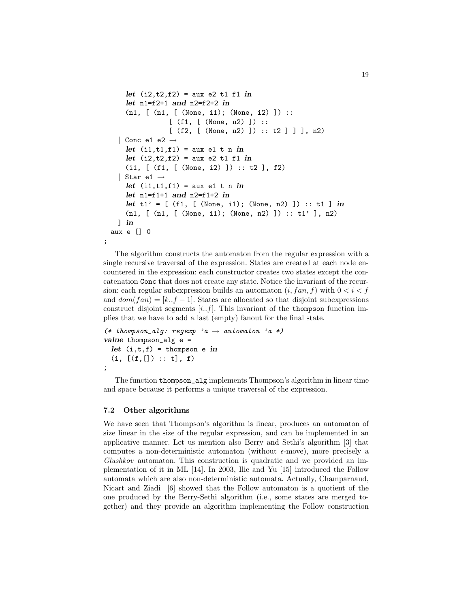```
let (i2, t2, f2) = aux e2 t1 f1 inlet n1=f2+1 and n2=f2+2 in
    (n1, [ (n1, [ (None, i1); (None, i2) ]) ::
               [ (f1, [ (None, n2) ]) ::
               [ (f2, [ (None, n2) ] ) :: t2 ] ] ], n2)
  | Conc e1 e2 \rightarrowlet (i1, t1, f1) = aux e1 t n in
    let (i2, t2, f2) = aux e2 t1 f1 in(i1, [ (f1, [ (None, i2) ]) :: t2 ], f2)
   Star e1 \rightarrowlet (i1, t1, f1) = aux e1 t n in
    let n1=f1+1 and n2=f1+2 in
    let t1' = [ (f1, [ (None, i1); (None, n2) ] ) :: t1 ] in
    (n1, [ (n1, [ (None, i1); (None, n2) ]) :: t1' ], n2)
  \lnaux e [] 0
```
The algorithm constructs the automaton from the regular expression with a single recursive traversal of the expression. States are created at each node encountered in the expression: each constructor creates two states except the concatenation Conc that does not create any state. Notice the invariant of the recursion: each regular subexpression builds an automaton  $(i, fan, f)$  with  $0 < i < f$ and  $dom(fan) = [k..f-1]$ . States are allocated so that disjoint subexpressions construct disjoint segments  $[i..f]$ . This invariant of the thompson function implies that we have to add a last (empty) fanout for the final state.

```
(* thompson_alg: regexp 'a \rightarrow automaton 'a *)
value thompson_alg e =let (i, t, f) = thompson e in
  (i, [(f, []): : t], f);
```
The function thompson\_alg implements Thompson's algorithm in linear time and space because it performs a unique traversal of the expression.

#### 7.2 Other algorithms

;

We have seen that Thompson's algorithm is linear, produces an automaton of size linear in the size of the regular expression, and can be implemented in an applicative manner. Let us mention also Berry and Sethi's algorithm [3] that computes a non-deterministic automaton (without  $\epsilon$ -move), more precisely a Glushkov automaton. This construction is quadratic and we provided an implementation of it in ML [14]. In 2003, Ilie and Yu [15] introduced the Follow automata which are also non-deterministic automata. Actually, Champarnaud, Nicart and Ziadi [6] showed that the Follow automaton is a quotient of the one produced by the Berry-Sethi algorithm (i.e., some states are merged together) and they provide an algorithm implementing the Follow construction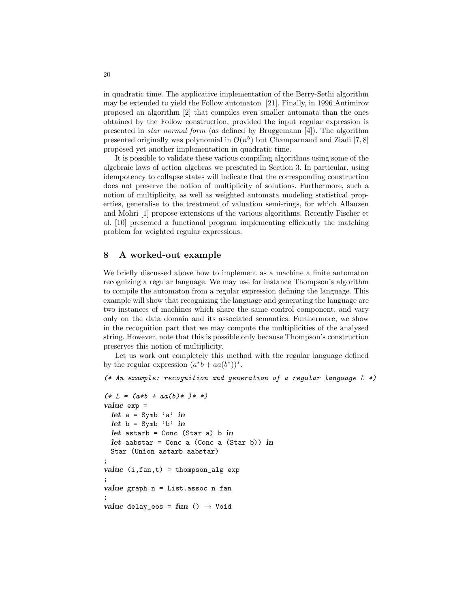in quadratic time. The applicative implementation of the Berry-Sethi algorithm may be extended to yield the Follow automaton [21]. Finally, in 1996 Antimirov proposed an algorithm [2] that compiles even smaller automata than the ones obtained by the Follow construction, provided the input regular expression is presented in star normal form (as defined by Bruggemann [4]). The algorithm presented originally was polynomial in  $O(n^5)$  but Champarnaud and Ziadi [7,8] proposed yet another implementation in quadratic time.

It is possible to validate these various compiling algorithms using some of the algebraic laws of action algebras we presented in Section 3. In particular, using idempotency to collapse states will indicate that the corresponding construction does not preserve the notion of multiplicity of solutions. Furthermore, such a notion of multiplicity, as well as weighted automata modeling statistical properties, generalise to the treatment of valuation semi-rings, for which Allauzen and Mohri [1] propose extensions of the various algorithms. Recently Fischer et al. [10] presented a functional program implementing efficiently the matching problem for weighted regular expressions.

#### 8 A worked-out example

We briefly discussed above how to implement as a machine a finite automaton recognizing a regular language. We may use for instance Thompson's algorithm to compile the automaton from a regular expression defining the language. This example will show that recognizing the language and generating the language are two instances of machines which share the same control component, and vary only on the data domain and its associated semantics. Furthermore, we show in the recognition part that we may compute the multiplicities of the analysed string. However, note that this is possible only because Thompson's construction preserves this notion of multiplicity.

Let us work out completely this method with the regular language defined by the regular expression  $(a^*b + aa(b^*))^*$ .

```
(* An example: recognition and generation of a regular language L *)
```

```
(* L = (a * b + a a(b) * ) * * )value exp =
  let a = Symb 'a' in
  let b = Symb' b' in
  let astarb = Conc (Star a) b in
  let aabstar = Conc a (Conc a (Star b)) in
 Star (Union astarb aabstar)
;
value (i, fan, t) = thompson_alg exp;
value graph n = List \n  <i>assoc</i> n fan;
value delay_eos = fun () \rightarrow Void
```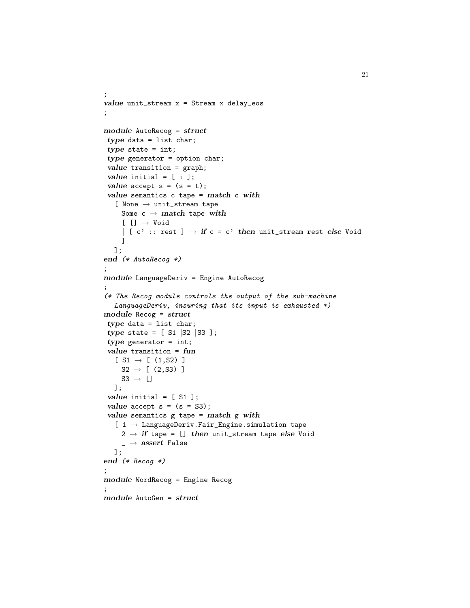```
;
value unit_stream x = Stream x delay_eos
;
module AutoRecog = struct
type data = list char;
type state = int;
type generator = option char;
value transition = graph;
value initial = [ i ];
value accept s = (s = t);value semantics c tape = match c with
   [ None \rightarrow unit_stream tape
   | Some c \rightarrow match tape with
    [[] \rightarrow Void| [ c' :: rest ] \rightarrow if c = c' then unit_stream rest else Void
    ]
  ];
end (* AutoRecog *)
;
module LanguageDeriv = Engine AutoRecog
;
(* The Recog module controls the output of the sub-machine
   LanguageDeriv, insuring that its input is exhausted *)module Recog = struct
type data = list char;
type state = [ S1 |S2 |S3 ];
type generator = int;
value transition = fun
   [ S1 \rightarrow [ (1, S2)]
   | S2 \rightarrow [ (2, S3) ]
   | S3 \rightarrow []
  ];
value initial = [ S1 ];
value accept s = (s = S3);value semantics g tape = match g with
   [ 1 \rightarrow LanguageDeriv.Fair_Engine.simulation tape
   | 2 \rightarrow if tape = [] then unit_stream tape else Void
   | _{-} \rightarrow assert False
  ];
end (* Recog *)
;
module WordRecog = Engine Recog
;
module AutoGen = struct
```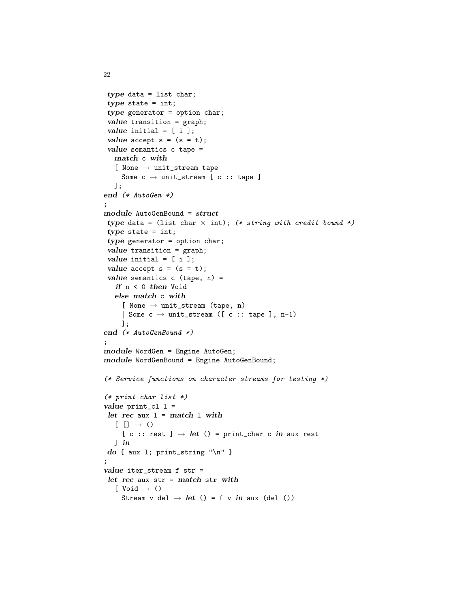```
type data = list char;
type state = int;
type generator = option char;
value transition = graph;
value initial = [i];
value accept s = (s = t);value semantics c tape =
  match c with
  [ None \rightarrow unit_stream tape
  | Some c \rightarrow unit\_stream [ c :: tape ]
  ];
end (* AutoGen *)
;
module AutoGenBound = struct
type data = (list char \times int); (* string with credit bound *)
type state = int;
type generator = option char;
value transition = graph;
value initial = [i];
value accept s = (s = t);value semantics c (tape, n) =
   if n < 0 then Void
  else match c with
    [ None \rightarrow unit_stream (tape, n)
    | Some c \rightarrow unit_stream ([c :: tape ], n-1)
    ];
end (* AutoGenBound *)
;
module WordGen = Engine AutoGen;
module WordGenBound = Engine AutoGenBound;
(* Service functions on character streams for testing *)
(* print char list *)
value print_cl 1 =let rec aux 1 = match 1 with[ [ ] \rightarrow ()| [ c :: rest ] \rightarrow let () = print_char c in aux rest
  ] in
do { aux 1; print_string "\n" }
;
value iter_stream f str =
let rec aux str = match str with
  [ Void \rightarrow ()
  | Stream v del \rightarrow let () = f v in aux (del ())
```
22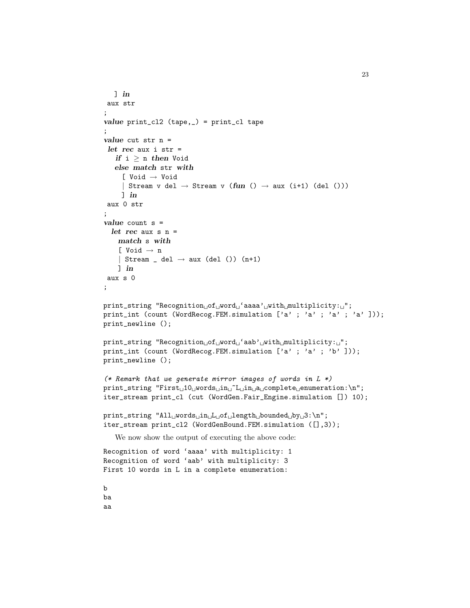```
] in
 aux str
;
value print_cl2 (tape,_) = print_cl tape
;
value cut str n =
 let rec aux i str =
   if i > n then Void
   else match str with
     [ Void → Void
     | Stream v del \rightarrow Stream v (fun () \rightarrow aux (i+1) (del ()))
     \lnaux 0 str
;
value count s =
  let rec aux s n =match s with
    [ Void \rightarrow n
    | Stream _ del \rightarrow aux (del ()) (n+1)
    ] in
 aux s 0
;
print_string "Recognition of word 'aaaa' with multiplicity: ";
print_int (count (WordRecog.FEM.simulation ['a' ; 'a' ; 'a' ; 'a' ]));
print_newline ();
print_string "Recognition of word 'aab' with multiplicity: ";
print_int (count (WordRecog.FEM.simulation ['a' ; 'a' ; 'b' ]));
print_newline ();
(* Remark that we generate mirror images of words in L *)
\texttt{print\_string}\text{ "First$_\sqcup$10$_\sqcup$words$_\sqcup$ in$_\sqcup$^$\sqcup$1n$_\sqcup$a$_\sqcup$complete$_\sqcup$enumeration:\\n";}iter_stream print_cl (cut (WordGen.Fair_Engine.simulation []) 10);
\texttt{print\_string} \text{ "All\_words}\_\texttt{in\_L\_of}\_\texttt{length}\_\texttt{bounded}\_\texttt{by}\_\texttt{3}:\^\texttt{n";}iter_stream print_cl2 (WordGenBound.FEM.simulation ([],3));
   We now show the output of executing the above code:
Recognition of word 'aaaa' with multiplicity: 1
Recognition of word 'aab' with multiplicity: 3
First 10 words in L in a complete enumeration:
b
ba
aa
```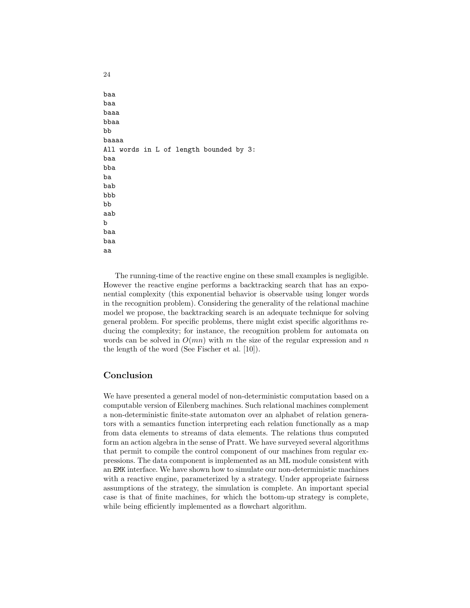baa baa baaa bbaa bb baaaa All words in L of length bounded by 3: baa bba ba bab bbb bb aab b baa baa aa

The running-time of the reactive engine on these small examples is negligible. However the reactive engine performs a backtracking search that has an exponential complexity (this exponential behavior is observable using longer words in the recognition problem). Considering the generality of the relational machine model we propose, the backtracking search is an adequate technique for solving general problem. For specific problems, there might exist specific algorithms reducing the complexity; for instance, the recognition problem for automata on words can be solved in  $O(mn)$  with m the size of the regular expression and n the length of the word (See Fischer et al. [10]).

# Conclusion

24

We have presented a general model of non-deterministic computation based on a computable version of Eilenberg machines. Such relational machines complement a non-deterministic finite-state automaton over an alphabet of relation generators with a semantics function interpreting each relation functionally as a map from data elements to streams of data elements. The relations thus computed form an action algebra in the sense of Pratt. We have surveyed several algorithms that permit to compile the control component of our machines from regular expressions. The data component is implemented as an ML module consistent with an EMK interface. We have shown how to simulate our non-deterministic machines with a reactive engine, parameterized by a strategy. Under appropriate fairness assumptions of the strategy, the simulation is complete. An important special case is that of finite machines, for which the bottom-up strategy is complete, while being efficiently implemented as a flowchart algorithm.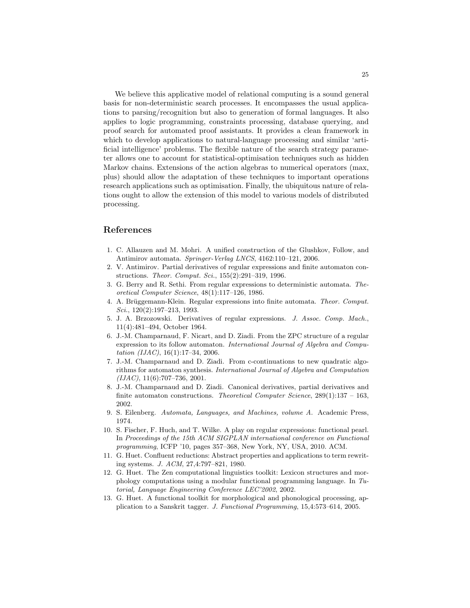We believe this applicative model of relational computing is a sound general basis for non-deterministic search processes. It encompasses the usual applications to parsing/recognition but also to generation of formal languages. It also applies to logic programming, constraints processing, database querying, and proof search for automated proof assistants. It provides a clean framework in which to develop applications to natural-language processing and similar 'artificial intelligence' problems. The flexible nature of the search strategy parameter allows one to account for statistical-optimisation techniques such as hidden Markov chains. Extensions of the action algebras to numerical operators (max, plus) should allow the adaptation of these techniques to important operations research applications such as optimisation. Finally, the ubiquitous nature of relations ought to allow the extension of this model to various models of distributed processing.

### References

- 1. C. Allauzen and M. Mohri. A unified construction of the Glushkov, Follow, and Antimirov automata. Springer-Verlag LNCS, 4162:110–121, 2006.
- 2. V. Antimirov. Partial derivatives of regular expressions and finite automaton constructions. Theor. Comput. Sci., 155(2):291–319, 1996.
- 3. G. Berry and R. Sethi. From regular expressions to deterministic automata. Theoretical Computer Science, 48(1):117–126, 1986.
- 4. A. Brüggemann-Klein. Regular expressions into finite automata. Theor. Comput. Sci., 120(2):197–213, 1993.
- 5. J. A. Brzozowski. Derivatives of regular expressions. J. Assoc. Comp. Mach., 11(4):481–494, October 1964.
- 6. J.-M. Champarnaud, F. Nicart, and D. Ziadi. From the ZPC structure of a regular expression to its follow automaton. International Journal of Algebra and Computation  $(IIAC)$ , 16(1):17–34, 2006.
- 7. J.-M. Champarnaud and D. Ziadi. From c-continuations to new quadratic algorithms for automaton synthesis. International Journal of Algebra and Computation  $(IIAC), 11(6):707-736, 2001.$
- 8. J.-M. Champarnaud and D. Ziadi. Canonical derivatives, partial derivatives and finite automaton constructions. Theoretical Computer Science,  $289(1):137 - 163$ , 2002.
- 9. S. Eilenberg. Automata, Languages, and Machines, volume A. Academic Press, 1974.
- 10. S. Fischer, F. Huch, and T. Wilke. A play on regular expressions: functional pearl. In Proceedings of the 15th ACM SIGPLAN international conference on Functional programming, ICFP '10, pages 357–368, New York, NY, USA, 2010. ACM.
- 11. G. Huet. Confluent reductions: Abstract properties and applications to term rewriting systems. J. ACM, 27,4:797–821, 1980.
- 12. G. Huet. The Zen computational linguistics toolkit: Lexicon structures and morphology computations using a modular functional programming language. In Tutorial, Language Engineering Conference LEC'2002, 2002.
- 13. G. Huet. A functional toolkit for morphological and phonological processing, application to a Sanskrit tagger. J. Functional Programming, 15,4:573–614, 2005.